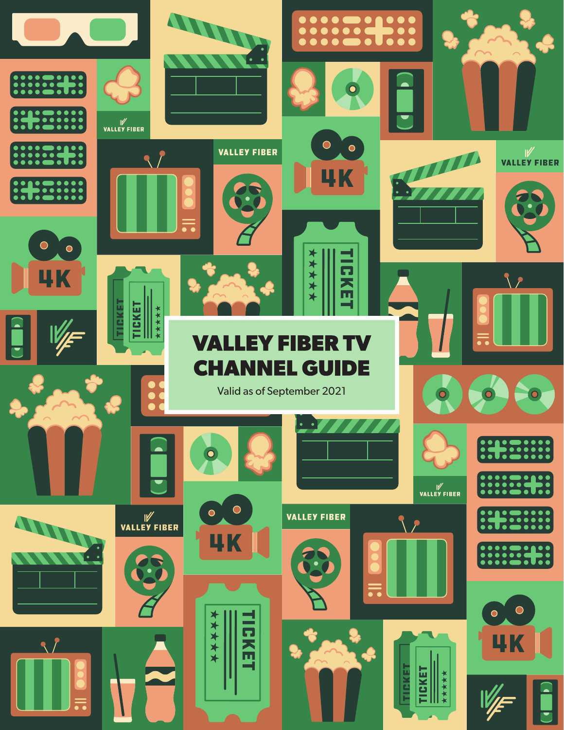